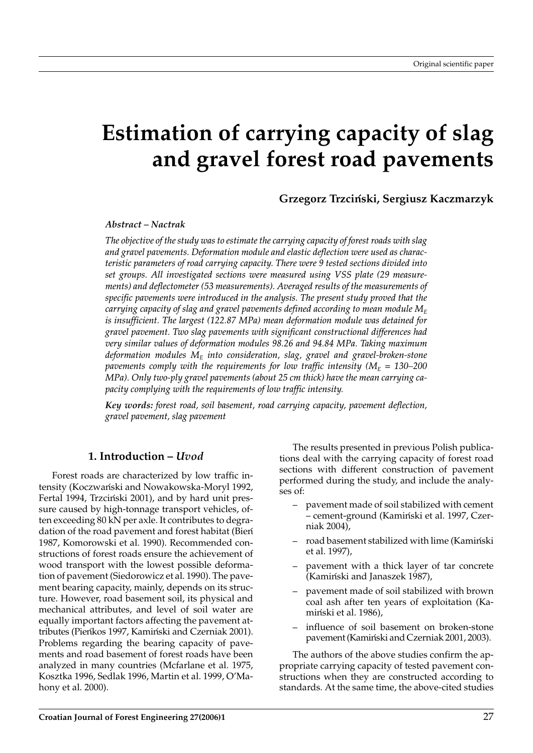# **Estimation of carrying capacity of slag and gravel forest road pavements**

**Grzegorz Trzcin´ski, Sergiusz Kaczmarzyk**

#### *Abstract – Nactrak*

*The objective of the study was to estimate the carrying capacity of forest roads with slag and gravel pavements. Deformation module and elastic deflection were used as characteristic parameters of road carrying capacity. There were 9 tested sections divided into set groups. All investigated sections were measured using VSS plate (29 measurements) and deflectometer (53 measurements). Averaged results of the measurements of specific pavements were introduced in the analysis. The present study proved that the carrying capacity of slag and gravel pavements defined according to mean module*  $M_E$ *is insufficient. The largest (122.87 MPa) mean deformation module was detained for gravel pavement. Two slag pavements with significant constructional differences had very similar values of deformation modules 98.26 and 94.84 MPa. Taking maximum deformation modules ME into consideration, slag, gravel and gravel-broken-stone pavements comply with the requirements for low traffic intensity (* $M_E$  *= 130–200 MPa). Only two-ply gravel pavements (about 25 cm thick) have the mean carrying capacity complying with the requirements of low traffic intensity.*

*Key words: forest road, soil basement, road carrying capacity, pavement deflection, gravel pavement, slag pavement*

### **1. Introduction –** *Uvod*

Forest roads are characterized by low traffic intensity (Koczwan´ski and Nowakowska-Moryl 1992, Fertal 1994, Trzciński 2001), and by hard unit pressure caused by high-tonnage transport vehicles, often exceeding 80 kN per axle. It contributes to degradation of the road pavement and forest habitat (Bien 1987, Komorowski et al. 1990). Recommended constructions of forest roads ensure the achievement of wood transport with the lowest possible deformation of pavement (Siedorowicz et al. 1990). The pavement bearing capacity, mainly, depends on its structure. However, road basement soil, its physical and mechanical attributes, and level of soil water are equally important factors affecting the pavement attributes (Pieńkos 1997, Kamiński and Czerniak 2001). Problems regarding the bearing capacity of pavements and road basement of forest roads have been analyzed in many countries (Mcfarlane et al. 1975, Kosztka 1996, Sedlak 1996, Martin et al. 1999, O'Mahony et al. 2000).

The results presented in previous Polish publications deal with the carrying capacity of forest road sections with different construction of pavement performed during the study, and include the analyses of:

- pavement made of soil stabilized with cement – cement-ground (Kamin´ski et al. 1997, Czerniak 2004),
- road basement stabilized with lime (Kamiński et al. 1997),
- pavement with a thick layer of tar concrete (Kamiński and Janaszek 1987),
- pavement made of soil stabilized with brown coal ash after ten years of exploitation (Kamiński et al. 1986).
- influence of soil basement on broken-stone pavement (Kamiński and Czerniak 2001, 2003).

The authors of the above studies confirm the appropriate carrying capacity of tested pavement constructions when they are constructed according to standards. At the same time, the above-cited studies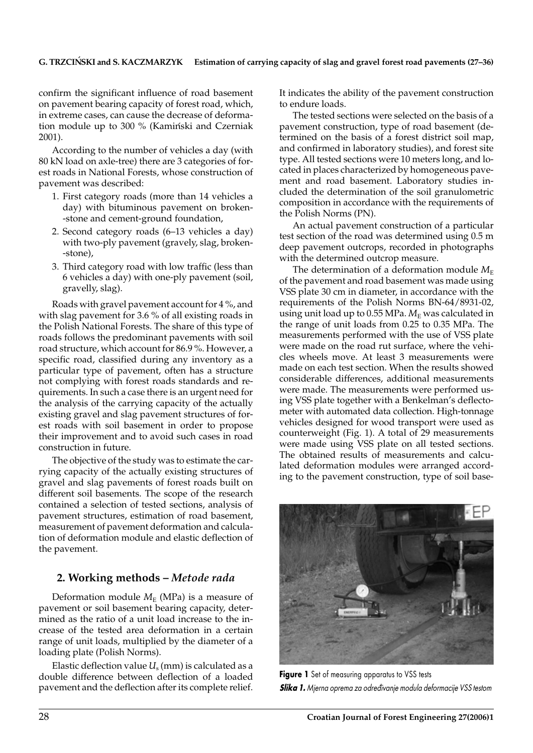confirm the significant influence of road basement on pavement bearing capacity of forest road, which, in extreme cases, can cause the decrease of deformation module up to 300 % (Kamiński and Czerniak 2001).

According to the number of vehicles a day (with 80 kN load on axle-tree) there are 3 categories of forest roads in National Forests, whose construction of pavement was described:

- 1. First category roads (more than 14 vehicles a day) with bituminous pavement on broken- -stone and cement-ground foundation,
- 2. Second category roads (6–13 vehicles a day) with two-ply pavement (gravely, slag, broken- -stone),
- 3. Third category road with low traffic (less than 6 vehicles a day) with one-ply pavement (soil, gravelly, slag).

Roads with gravel pavement account for 4 %, and with slag pavement for 3.6 % of all existing roads in the Polish National Forests. The share of this type of roads follows the predominant pavements with soil road structure, which account for 86.9 %. However, a specific road, classified during any inventory as a particular type of pavement, often has a structure not complying with forest roads standards and requirements. In such a case there is an urgent need for the analysis of the carrying capacity of the actually existing gravel and slag pavement structures of forest roads with soil basement in order to propose their improvement and to avoid such cases in road construction in future.

The objective of the study was to estimate the carrying capacity of the actually existing structures of gravel and slag pavements of forest roads built on different soil basements. The scope of the research contained a selection of tested sections, analysis of pavement structures, estimation of road basement, measurement of pavement deformation and calculation of deformation module and elastic deflection of the pavement.

## **2. Working methods –** *Metode rada*

Deformation module  $M_E$  (MPa) is a measure of pavement or soil basement bearing capacity, determined as the ratio of a unit load increase to the increase of the tested area deformation in a certain range of unit loads, multiplied by the diameter of a loading plate (Polish Norms).

Elastic deflection value  $U_s$  (mm) is calculated as a double difference between deflection of a loaded pavement and the deflection after its complete relief. It indicates the ability of the pavement construction to endure loads.

The tested sections were selected on the basis of a pavement construction, type of road basement (determined on the basis of a forest district soil map, and confirmed in laboratory studies), and forest site type. All tested sections were 10 meters long, and located in places characterized by homogeneous pavement and road basement. Laboratory studies included the determination of the soil granulometric composition in accordance with the requirements of the Polish Norms (PN).

An actual pavement construction of a particular test section of the road was determined using 0.5 m deep pavement outcrops, recorded in photographs with the determined outcrop measure.

The determination of a deformation module  $M_{\text{E}}$ of the pavement and road basement was made using VSS plate 30 cm in diameter, in accordance with the requirements of the Polish Norms BN-64/8931-02, using unit load up to 0.55 MPa.  $M<sub>E</sub>$  was calculated in the range of unit loads from 0.25 to 0.35 MPa. The measurements performed with the use of VSS plate were made on the road rut surface, where the vehicles wheels move. At least 3 measurements were made on each test section. When the results showed considerable differences, additional measurements were made. The measurements were performed using VSS plate together with a Benkelman's deflectometer with automated data collection. High-tonnage vehicles designed for wood transport were used as counterweight (Fig. 1). A total of 29 measurements were made using VSS plate on all tested sections. The obtained results of measurements and calculated deformation modules were arranged according to the pavement construction, type of soil base-



**Figure 1** Set of measuring apparatus to VSS tests *Slika 1.Mjerna oprema za odre|ivanje modula deformacije VSS testom*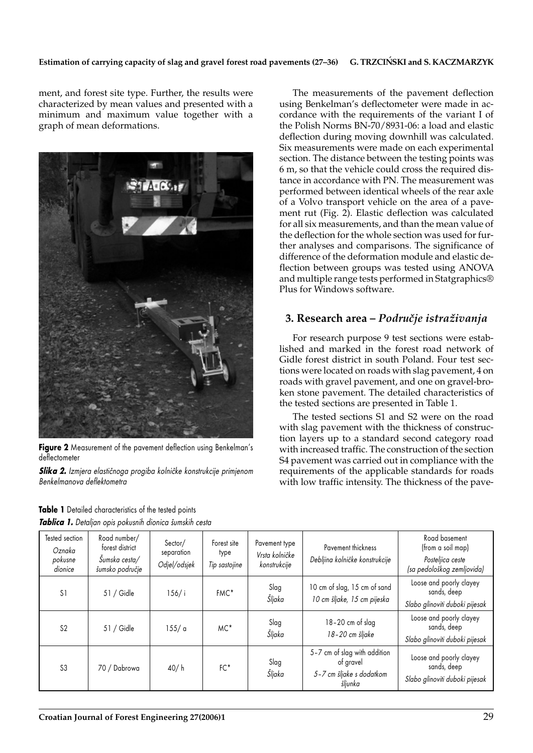#### Estimation of carrying capacity of slag and gravel forest road pavements (27-36) G. TRZCIŃSKI and S. KACZMARZYK

ment, and forest site type. Further, the results were characterized by mean values and presented with a minimum and maximum value together with a graph of mean deformations.



Figure 2 Measurement of the pavement deflection using Benkelman's deflectometer

**Slika 2.** Izmjera elastičnoga progiba kolničke konstrukcije primjenom *Benkelmanova deflektometra*

The measurements of the pavement deflection using Benkelman's deflectometer were made in accordance with the requirements of the variant I of the Polish Norms BN-70/8931-06: a load and elastic deflection during moving downhill was calculated. Six measurements were made on each experimental section. The distance between the testing points was 6 m, so that the vehicle could cross the required distance in accordance with PN. The measurement was performed between identical wheels of the rear axle of a Volvo transport vehicle on the area of a pavement rut (Fig. 2). Elastic deflection was calculated for all six measurements, and than the mean value of the deflection for the whole section was used for further analyses and comparisons. The significance of difference of the deformation module and elastic deflection between groups was tested using ANOVA and multiple range tests performed in Statgraphics® Plus for Windows software.

# **3. Research area –** *Podru~je istra`ivanja*

For research purpose 9 test sections were established and marked in the forest road network of Gidle forest district in south Poland. Four test sections were located on roads with slag pavement, 4 on roads with gravel pavement, and one on gravel-broken stone pavement. The detailed characteristics of the tested sections are presented in Table 1.

The tested sections S1 and S2 were on the road with slag pavement with the thickness of construction layers up to a standard second category road with increased traffic. The construction of the section S4 pavement was carried out in compliance with the requirements of the applicable standards for roads with low traffic intensity. The thickness of the pave-

| Tested section<br>Oznaka<br>pokusne<br>dionice | Road number/<br>forest district<br>Sumska cesta/<br>šumsko područje | Sector/<br>separation<br>Odjel/odsjek | Forest site<br>type<br>Tip sastojine | Pavement type<br>Vrsta kolničke<br>konstrukcije | Pavement thickness<br>Debljina kolničke konstrukcije                             | Road basement<br>(from a soil map)<br>Posteljica ceste<br>(sa pedološkog zemljovida) |
|------------------------------------------------|---------------------------------------------------------------------|---------------------------------------|--------------------------------------|-------------------------------------------------|----------------------------------------------------------------------------------|--------------------------------------------------------------------------------------|
| S1                                             | 51 / Gidle                                                          | $156/$ i                              | FMC*                                 | Slag<br>Šljaka                                  | 10 cm of slag, 15 cm of sand<br>10 cm šljake, 15 cm pijeska                      | Loose and poorly clayey<br>sands, deep<br>Slabo glinoviti duboki pijesak             |
| S <sub>2</sub>                                 | $51/$ Gidle                                                         | 155/a                                 | MC*                                  | Slag<br>Šljaka                                  | 18-20 cm of slag<br>18-20 cm šljake                                              | Loose and poorly clayey<br>sands, deep<br>Slabo glinoviti duboki pijesak             |
| S <sub>3</sub>                                 | 70 / Dabrowa                                                        | 40/h                                  | $FC*$                                | Slag<br>Šljaka                                  | 5-7 cm of slag with addition<br>of gravel<br>5-7 cm šljake s dodatkom<br>šljunka | Loose and poorly clayey<br>sands, deep<br>Slabo glinoviti duboki pijesak             |

**Table 1** Detailed characteristics of the tested points *Tablica 1. Detaljan opis pokusnih dionica {umskih cesta*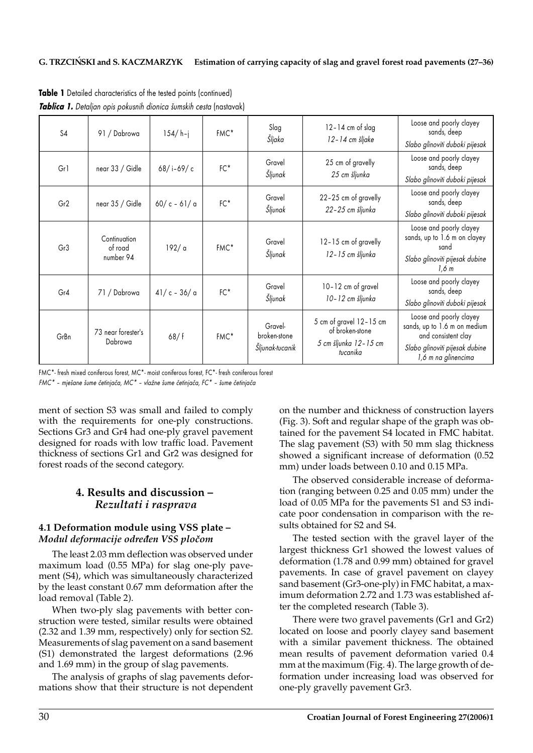| S4              | 91 / Dabrowa                         | $154/h - j$   | FMC <sup>*</sup> | Slag<br>Šljaka                             | $12 - 14$ cm of slag<br>12-14 cm šljake                                             | Loose and poorly clayey<br>sands, deep<br>Slabo glinoviti duboki pijesak                                                                |
|-----------------|--------------------------------------|---------------|------------------|--------------------------------------------|-------------------------------------------------------------------------------------|-----------------------------------------------------------------------------------------------------------------------------------------|
| Gr1             | near 33 / Gidle                      | 68/i-69/c     | $FC*$            | Gravel<br>Šljunak                          | 25 cm of gravelly<br>25 cm šljunka                                                  | Loose and poorly clayey<br>sands, deep<br>Slabo glinoviti duboki pijesak                                                                |
| Gr2             | near 35 / Gidle                      | $60/c - 61/a$ | $FC*$            | Gravel<br>Šljunak                          | 22-25 cm of gravelly<br>22-25 cm šljunka                                            | Loose and poorly clayey<br>sands, deep<br>Slabo glinoviti duboki pijesak                                                                |
| Gr <sub>3</sub> | Continuation<br>of road<br>number 94 | 192/ a        | FMC <sup>*</sup> | Gravel<br>Šljunak                          | 12-15 cm of gravelly<br>12-15 cm šljunka                                            | Loose and poorly clayey<br>sands, up to 1.6 m on clayey<br>sand<br>Slabo glinoviti pijesak dubine<br>1.6 <sub>m</sub>                   |
| Gr4             | 71 / Dabrowa                         | $41/c - 36/c$ | $FC*$            | Gravel<br>Šljunak                          | 10-12 cm of gravel<br>10-12 cm šljunka                                              | Loose and poorly clayey<br>sands, deep<br>Slabo glinoviti duboki pijesak                                                                |
| GrBn            | 73 near forester's<br>Dabrowa        | 68/f          | FMC*             | Gravel-<br>broken-stone<br>Šljunak-tucanik | 5 cm of gravel $12 - 15$ cm<br>of broken-stone<br>5 cm šljunka 12-15 cm<br>tucanika | Loose and poorly clayey<br>sands, up to 1.6 m on medium<br>and consistent clay<br>Slabo glinoviti pijesak dubine<br>1,6 m na glinencima |

**Table 1** Detailed characteristics of the tested points (continued) **Tablica 1.** Detaljan opis pokusnih dionica šumskih cesta (nastavak)

FMC\*- fresh mixed coniferous forest, MC\*- moist coniferous forest, FC\*- fresh coniferous forest *FMC\* - mješane šume četinjača, MC\* - vlažne šume četinjača, FC\* - šume četinjača* 

ment of section S3 was small and failed to comply with the requirements for one-ply constructions. Sections Gr3 and Gr4 had one-ply gravel pavement designed for roads with low traffic load. Pavement thickness of sections Gr1 and Gr2 was designed for forest roads of the second category.

# **4. Results and discussion –** *Rezultati i rasprava*

### **4.1 Deformation module using VSS plate –** *Modul deformacije odre|en VSS plo~om*

The least 2.03 mm deflection was observed under maximum load (0.55 MPa) for slag one-ply pavement (S4), which was simultaneously characterized by the least constant 0.67 mm deformation after the load removal (Table 2).

When two-ply slag pavements with better construction were tested, similar results were obtained (2.32 and 1.39 mm, respectively) only for section S2. Measurements of slag pavement on a sand basement (S1) demonstrated the largest deformations (2.96 and 1.69 mm) in the group of slag pavements.

The analysis of graphs of slag pavements deformations show that their structure is not dependent on the number and thickness of construction layers (Fig. 3). Soft and regular shape of the graph was obtained for the pavement S4 located in FMC habitat. The slag pavement (S3) with 50 mm slag thickness showed a significant increase of deformation (0.52 mm) under loads between 0.10 and 0.15 MPa.

The observed considerable increase of deformation (ranging between 0.25 and 0.05 mm) under the load of 0.05 MPa for the pavements S1 and S3 indicate poor condensation in comparison with the results obtained for S2 and S4.

The tested section with the gravel layer of the largest thickness Gr1 showed the lowest values of deformation (1.78 and 0.99 mm) obtained for gravel pavements. In case of gravel pavement on clayey sand basement (Gr3-one-ply) in FMC habitat, a maximum deformation 2.72 and 1.73 was established after the completed research (Table 3).

There were two gravel pavements (Gr1 and Gr2) located on loose and poorly clayey sand basement with a similar pavement thickness. The obtained mean results of pavement deformation varied 0.4 mm at the maximum (Fig. 4). The large growth of deformation under increasing load was observed for one-ply gravelly pavement Gr3.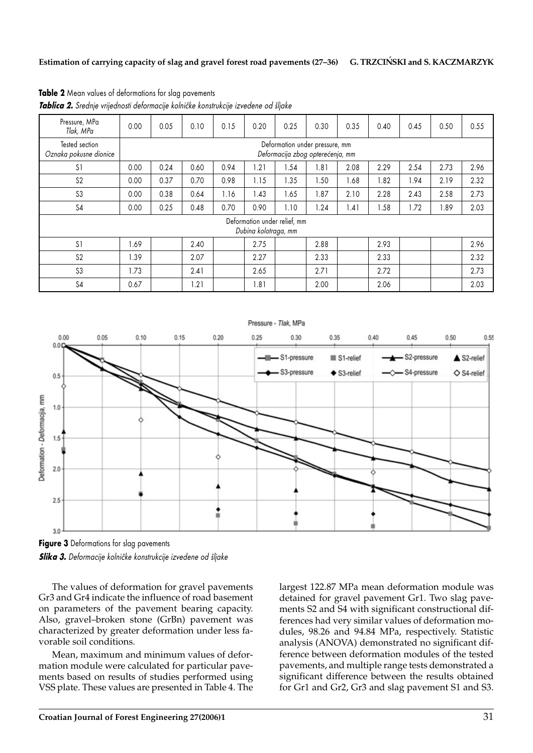| Pressure, MPa<br>Tlak, MPa                           | 0.00 | 0.05                                                               | 0.10 | 0.15 | 0.20 | 0.25 | 0.30 | 0.35 | 0.40 | 0.45 | 0.50 | 0.55 |
|------------------------------------------------------|------|--------------------------------------------------------------------|------|------|------|------|------|------|------|------|------|------|
| Tested section<br>Oznaka pokusne dionice             |      | Deformation under pressure, mm<br>Deformacija zbog opterećenja, mm |      |      |      |      |      |      |      |      |      |      |
| S <sub>1</sub>                                       | 0.00 | 0.24                                                               | 0.60 | 0.94 | .21  | .54  | 1.81 | 2.08 | 2.29 | 2.54 | 2.73 | 2.96 |
| S <sub>2</sub>                                       | 0.00 | 0.37                                                               | 0.70 | 0.98 | 1.15 | 1.35 | 1.50 | 1.68 | 1.82 | 1.94 | 2.19 | 2.32 |
| S <sub>3</sub>                                       | 0.00 | 0.38                                                               | 0.64 | 1.16 | .43  | .65  | 1.87 | 2.10 | 2.28 | 2.43 | 2.58 | 2.73 |
| S4                                                   | 0.00 | 0.25                                                               | 0.48 | 0.70 | 0.90 | 1.10 | 1.24 | 1.41 | 1.58 | 1.72 | 1.89 | 2.03 |
| Deformation under relief, mm<br>Dubina kolotraga, mm |      |                                                                    |      |      |      |      |      |      |      |      |      |      |
| S <sub>1</sub>                                       | 1.69 |                                                                    | 2.40 |      | 2.75 |      | 2.88 |      | 2.93 |      |      | 2.96 |
| S <sub>2</sub>                                       | 1.39 |                                                                    | 2.07 |      | 2.27 |      | 2.33 |      | 2.33 |      |      | 2.32 |
| S3                                                   | 1.73 |                                                                    | 2.41 |      | 2.65 |      | 2.71 |      | 2.72 |      |      | 2.73 |
| S <sub>4</sub>                                       | 0.67 |                                                                    | .21  |      | .81  |      | 2.00 |      | 2.06 |      |      | 2.03 |

**Table 2** Mean values of deformations for slag pavements

**Tablica 2.** Srednje vrijednosti deformacije kolničke konstrukcije izvedene od šljake



**Figure 3** Deformations for slag pavements **Slika 3.** Deformacije kolničke konstrukcije izvedene od šljake

The values of deformation for gravel pavements Gr3 and Gr4 indicate the influence of road basement on parameters of the pavement bearing capacity. Also, gravel–broken stone (GrBn) pavement was characterized by greater deformation under less favorable soil conditions.

Mean, maximum and minimum values of deformation module were calculated for particular pavements based on results of studies performed using VSS plate. These values are presented in Table 4. The largest 122.87 MPa mean deformation module was detained for gravel pavement Gr1. Two slag pavements S2 and S4 with significant constructional differences had very similar values of deformation modules, 98.26 and 94.84 MPa, respectively. Statistic analysis (ANOVA) demonstrated no significant difference between deformation modules of the tested pavements, and multiple range tests demonstrated a significant difference between the results obtained for Gr1 and Gr2, Gr3 and slag pavement S1 and S3.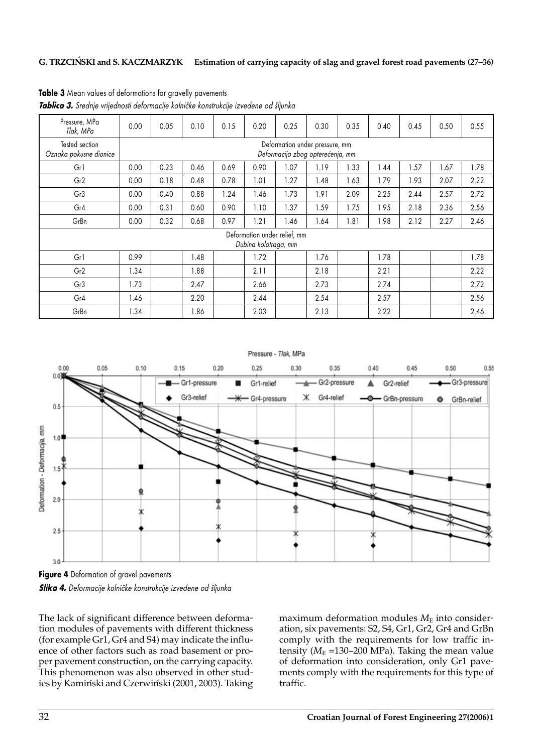#### **G. TRZCIN´SKI and S. KACZMARZYK Estimation of carrying capacity of slag and gravel forest road pavements (27–36)**

| Pressure, MPa<br>Tlak, MPa               | 0.00                                                               | 0.05 | 0.10 | 0.15 | 0.20 | 0.25 | 0.30 | 0.35 | 0.40 | 0.45 | 0.50 | 0.55 |
|------------------------------------------|--------------------------------------------------------------------|------|------|------|------|------|------|------|------|------|------|------|
| Tested section<br>Oznaka pokusne dionice | Deformation under pressure, mm<br>Deformacija zbog opterećenja, mm |      |      |      |      |      |      |      |      |      |      |      |
| Gr1                                      | 0.00                                                               | 0.23 | 0.46 | 0.69 | 0.90 | 1.07 | 1.19 | 1.33 | 1.44 | 1.57 | 1.67 | 1.78 |
| Gr <sub>2</sub>                          | 0.00                                                               | 0.18 | 0.48 | 0.78 | 1.01 | 1.27 | 1.48 | 1.63 | 1.79 | 1.93 | 2.07 | 2.22 |
| Gr <sub>3</sub>                          | 0.00                                                               | 0.40 | 0.88 | 1.24 | 1.46 | 1.73 | 1.91 | 2.09 | 2.25 | 2.44 | 2.57 | 2.72 |
| Gr4                                      | 0.00                                                               | 0.31 | 0.60 | 0.90 | 1.10 | 1.37 | 1.59 | 1.75 | 1.95 | 2.18 | 2.36 | 2.56 |
| GrBn                                     | 0.00                                                               | 0.32 | 0.68 | 0.97 | 1.21 | 1.46 | 1.64 | 1.81 | 1.98 | 2.12 | 2.27 | 2.46 |
|                                          | Deformation under relief, mm<br>Dubina kolotraga, mm               |      |      |      |      |      |      |      |      |      |      |      |
| Gr1                                      | 0.99                                                               |      | .48  |      | 1.72 |      | 1.76 |      | 1.78 |      |      | 1.78 |
| Gr2                                      | 1.34                                                               |      | 1.88 |      | 2.11 |      | 2.18 |      | 2.21 |      |      | 2.22 |
| Gr <sub>3</sub>                          | 1.73                                                               |      | 2.47 |      | 2.66 |      | 2.73 |      | 2.74 |      |      | 2.72 |
| Gr4                                      | 1.46                                                               |      | 2.20 |      | 2.44 |      | 2.54 |      | 2.57 |      |      | 2.56 |
| GrBn                                     | 1.34                                                               |      | .86  |      | 2.03 |      | 2.13 |      | 2.22 |      |      | 2.46 |

**Table 3** Mean values of deformations for gravelly pavements **Tablica 3.** Srednje vrijednosti deformacije kolničke konstrukcije izvedene od šljunka



**Figure 4** Deformation of gravel pavements **Slika 4.** Deformacije kolničke konstrukcije izvedene od šljunka

The lack of significant difference between deformation modules of pavements with different thickness (for example Gr1, Gr4 and S4) may indicate the influence of other factors such as road basement or proper pavement construction, on the carrying capacity. This phenomenon was also observed in other studies by Kamiński and Czerwiński (2001, 2003). Taking maximum deformation modules  $M<sub>E</sub>$  into consideration, six pavements: S2, S4, Gr1, Gr2, Gr4 and GrBn comply with the requirements for low traffic intensity ( $M<sub>E</sub>$  =130–200 MPa). Taking the mean value of deformation into consideration, only Gr1 pavements comply with the requirements for this type of traffic.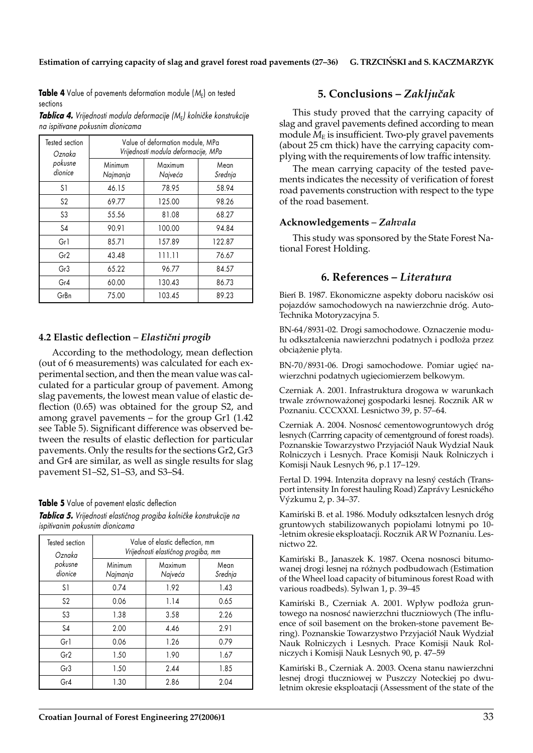**Table 4** Value of pavements deformation module (M<sub>E</sub>) on tested sections

**Tablica 4.** Vrijednosti modula deformacije (M<sub>E</sub>) kolničke konstrukcije *na ispitivane pokusnim dionicama*

| Tested section<br>Oznaka | Value of deformation module, MPa<br>Vrijednosti modula deformacije, MPa |                    |                 |  |  |  |  |  |
|--------------------------|-------------------------------------------------------------------------|--------------------|-----------------|--|--|--|--|--|
| pokusne<br>dionice       | Minimum<br>Najmanja                                                     | Maximum<br>Najveća | Mean<br>Srednja |  |  |  |  |  |
| S <sub>1</sub>           | 46.15                                                                   | 78.95              | 58.94           |  |  |  |  |  |
| S <sub>2</sub>           | 69.77                                                                   | 125.00             | 98.26           |  |  |  |  |  |
| S3                       | 55.56                                                                   | 81.08              | 68.27           |  |  |  |  |  |
| S <sub>4</sub>           | 90.91                                                                   | 100.00             | 94.84           |  |  |  |  |  |
| Gr1                      | 85.71                                                                   | 157.89             | 122.87          |  |  |  |  |  |
| Gr2                      | 43.48                                                                   | 111.11             | 76.67           |  |  |  |  |  |
| Gr3                      | 65.22                                                                   | 96.77              | 84.57           |  |  |  |  |  |
| Gr4                      | 60.00                                                                   | 130.43             | 86.73           |  |  |  |  |  |
| GrBn                     | 75.00                                                                   | 103.45             | 89.23           |  |  |  |  |  |

## **4.2 Elastic deflection – Elastični progib**

According to the methodology, mean deflection (out of 6 measurements) was calculated for each experimental section, and then the mean value was calculated for a particular group of pavement. Among slag pavements, the lowest mean value of elastic deflection (0.65) was obtained for the group S2, and among gravel pavements – for the group Gr1 (1.42 see Table 5). Significant difference was observed between the results of elastic deflection for particular pavements. Only the results for the sections Gr2, Gr3 and Gr4 are similar, as well as single results for slag pavement S1–S2, S1–S3, and S3–S4.

### **Table 5** Value of pavement elastic deflection

*Tablica 5. Vrijednosti elasti~nog progiba kolni~ke konstrukcije na ispitivanim pokusnim dionicama*

| Tested section<br>Oznaka | Value of elastic deflection, mm<br>Vrijednosti elastičnog progiba, mm |                    |                 |  |  |  |  |
|--------------------------|-----------------------------------------------------------------------|--------------------|-----------------|--|--|--|--|
| pokusne<br>dionice       | Minimum<br>Najmanja                                                   | Maximum<br>Najveća | Mean<br>Srednja |  |  |  |  |
| S1                       | 0.74                                                                  | 1.92               | 1.43            |  |  |  |  |
| S <sub>2</sub>           | 0.06                                                                  | 1.14               | 0.65            |  |  |  |  |
| S3                       | 1.38                                                                  | 3.58               | 2.26            |  |  |  |  |
| S4                       | 2.00                                                                  | 4.46               | 2.91            |  |  |  |  |
| Gr1                      | 0.06                                                                  | 1.26               | 0.79            |  |  |  |  |
| Gr <sub>2</sub>          | 1.50                                                                  | 1.90               | 1.67            |  |  |  |  |
| Gr3                      | 1.50                                                                  | 2.44               | 1.85            |  |  |  |  |
| Gr4                      | 1.30                                                                  | 2.86               | 2.04            |  |  |  |  |

# **5. Conclusions –** *Zaklju~ak*

This study proved that the carrying capacity of slag and gravel pavements defined according to mean module  $M<sub>E</sub>$  is insufficient. Two-ply gravel pavements (about 25 cm thick) have the carrying capacity complying with the requirements of low traffic intensity.

The mean carrying capacity of the tested pavements indicates the necessity of verification of forest road pavements construction with respect to the type of the road basement.

## **Acknowledgements** *– Zahvala*

This study was sponsored by the State Forest National Forest Holding.

# **6. References –** *Literatura*

Bien´ B. 1987. Ekonomiczne aspekty doboru nacisków osi pojazdów samochodowych na nawierzchnie dróg. Auto-Technika Motoryzacyjna 5.

BN-64/8931-02. Drogi samochodowe. Oznaczenie modu łu odkształcenia nawierzchni podatnych i podłoża przez obciążenie płytą.

BN-70/8931-06. Drogi samochodowe. Pomiar ugięć nawierzchni podatnych ugięciomierzem belkowym.

Czerniak A. 2001. Infrastruktura drogowa w warunkach trwale zrównoważonej gospodarki lesnej. Rocznik AR w Poznaniu. CCCXXXI. Lesnictwo 39, p. 57–64.

Czerniak A. 2004. Nosnosć cementowogruntowych dróg lesnych (Carrring capacity of cementground of forest roads). Poznanskie Towarzystwo Przyjaciół Nauk Wydział Nauk Rolniczych i Lesnych. Prace Komisji Nauk Rolniczych i Komisji Nauk Lesnych 96, p.1 17–129.

Fertal D. 1994. Intenzita dopravy na lesný cestách (Transport intensity In forest hauling Road) Zaprávy Lesnického Výzkumu 2, p. 34–37.

Kamiński B. et al. 1986. Moduły odkształcen lesnych dróg gruntowych stabilizowanych popiolami lotnymi po 10--letnim okresie eksploatacji. Rocznik AR W Poznaniu. Lesnictwo 22.

Kamiński B., Janaszek K. 1987. Ocena nosnosci bitumowanej drogi lesnej na różnych podbudowach (Estimation of the Wheel load capacity of bituminous forest Road with various roadbeds). Sylwan 1, p. 39–45

Kamiński B., Czerniak A. 2001. Wpływ podłoża gruntowego na nosnosć nawierzchni tłuczniowych (The influence of soil basement on the broken-stone pavement Bering). Poznanskie Towarzystwo Przyjaciól´ Nauk Wydzial´ Nauk Rolniczych i Lesnych. Prace Komisji Nauk Rolniczych i Komisji Nauk Lesnych 90, p. 47–59

Kamiński B., Czerniak A. 2003. Ocena stanu nawierzchni lesnej drogi tluczniowej w Puszczy Noteckiej po dwuletnim okresie eksploatacji (Assessment of the state of the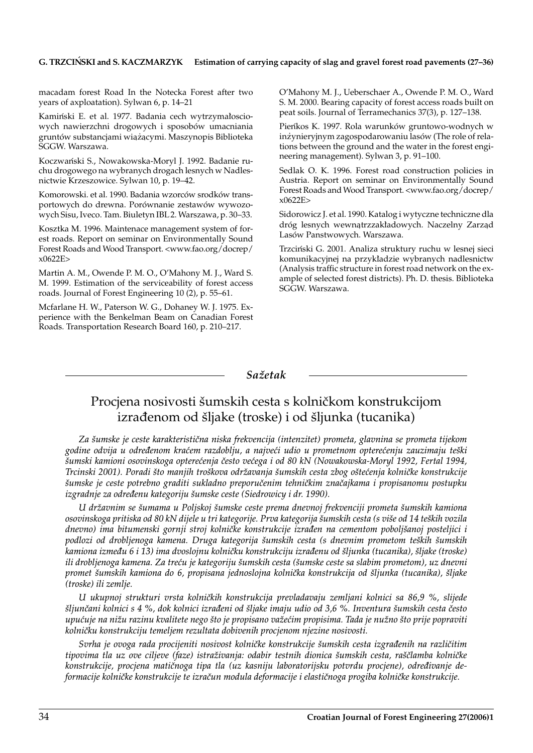#### **G. TRZCIN´SKI and S. KACZMARZYK Estimation of carrying capacity of slag and gravel forest road pavements (27–36)**

macadam forest Road In the Notecka Forest after two years of axploatation). Sylwan 6, p. 14–21

Kamiński E. et al. 1977. Badania cech wytrzymałosciowych nawierzchni drogowych i sposobów umacniania gruntów substancjami wiążącymi. Maszynopis Biblioteka<br>SCCW Warszawa SGGW. Warszawa.

Koczwan´ski S., Nowakowska-Moryl J. 1992. Badanie ruchu drogowego na wybranych drogach lesnych w Nadlesnictwie Krzeszowice. Sylwan 10, p. 19–42.

Komorowski. et al. 1990. Badania wzorców srodków transportowych do drewna. Porównanie zestawów wywozowych Sisu, Iveco. Tam. Biuletyn IBL 2. Warszawa, p. 30–33.

Kosztka M. 1996. Maintenace management system of forest roads. Report on seminar on Environmentally Sound Forest Roads and Wood Transport. <www.fao.org/docrep/ x0622E>

Martin A. M., Owende P. M. O., O'Mahony M. J., Ward S. M. 1999. Estimation of the serviceability of forest access roads. Journal of Forest Engineering 10 (2), p. 55–61.

Mcfarlane H. W., Paterson W. G., Dohaney W. J. 1975. Experience with the Benkelman Beam on Canadian Forest Roads. Transportation Research Board 160, p. 210–217.

O'Mahony M. J., Ueberschaer A., Owende P. M. O., Ward S. M. 2000. Bearing capacity of forest access roads built on peat soils. Journal of Terramechanics 37(3), p. 127–138.

Pien´kos K. 1997. Rola warunków gruntowo-wodnych w inżynieryjnym zagospodarowaniu lasów (The role of relations between the ground and the water in the forest engineering management). Sylwan 3, p. 91–100.

Sedlak O. K. 1996. Forest road construction policies in Austria. Report on seminar on Environmentally Sound Forest Roads and Wood Transport. <www.fao.org/docrep/ x0622E>

Sidorowicz J. et al. 1990. Katalog i wytyczne techniczne dla dróg lesnych wewnątrzzakładowych. Naczelny Zarząd Lasów Panstwowych. Warszawa.

Trzcin´ski G. 2001. Analiza struktury ruchu w lesnej sieci komunikacyjnej na przykładzie wybranych nadlesnictw (Analysis traffic structure in forest road network on the example of selected forest districts). Ph. D. thesis. Biblioteka SGGW. Warszawa.

#### *Sa`etak*

# Procjena nosivosti šumskih cesta s kolničkom konstrukcijom izrađenom od šljake (troske) i od šljunka (tucanika)

*Za {umske je ceste karakteristi~na niska frekvencija (intenzitet) prometa, glavnina se prometa tijekom* godine odvija u određenom kraćem razdoblju, a najveći udio u prometnom opterećenju zauzimaju teški *{umski kamioni osovinskoga optere}enja ~esto ve}ega i od 80 kN (Nowakowska-Moryl 1992, Fertal 1994, Trcinski 2001). Poradi {to manjih tro{kova odr`avanja {umskih cesta zbog o{te}enja kolni~ke konstrukcije {umske je ceste potrebno graditi sukladno preporu~enim tehni~kim zna~ajkama i propisanomu postupku izgradnje za određenu kategoriju šumske ceste (Siedrowicy i dr. 1990).* 

*U dr`avnim se {umama u Poljskoj {umske ceste prema dnevnoj frekvenciji prometa {umskih kamiona osovinskoga pritiska od 80 kN dijele u tri kategorije. Prva kategorija {umskih cesta (s vi{e od 14 te{kih vozila dnevno) ima bitumenski gornji stroj kolni~ke konstrukcije izra|en na cementom pobolj{anoj posteljici i podlozi od drobljenoga kamena. Druga kategorija {umskih cesta (s dnevnim prometom te{kih {umskih* kamiona između 6 i 13) ima dvoslojnu kolničku konstrukciju izrađenu od šljunka (tucanika), šljake (troske) *ili drobljenoga kamena. Za tre}u je kategoriju {umskih cesta ({umske ceste sa slabim prometom), uz dnevni promet {umskih kamiona do 6, propisana jednoslojna kolni~ka konstrukcija od {ljunka (tucanika), {ljake (troske) ili zemlje.*

*U ukupnoj strukturi vrsta kolni~kih konstrukcija prevladavaju zemljani kolnici sa 86,9 %, slijede {ljun~ani kolnici s 4 %, dok kolnici izra|eni od {ljake imaju udio od 3,6 %. Inventura {umskih cesta ~esto* upućuje na nižu razinu kvalitete nego što je propisano važećim propisima. Tada je nužno što prije popraviti *kolni~ku konstrukciju temeljem rezultata dobivenih procjenom njezine nosivosti.*

*Svrha je ovoga rada procijeniti nosivost kolni~ke konstrukcije {umskih cesta izgra|enih na razli~itim tipovima tla uz ove ciljeve (faze) istra`ivanja: odabir testnih dionica {umskih cesta, ra{~lamba kolni~ke* konstrukcije, procjena matičnoga tipa tla (uz kasniju laboratorijsku potvrdu procjene), određivanje de*formacije kolni~ke konstrukcije te izra~un modula deformacije i elasti~noga progiba kolni~ke konstrukcije.*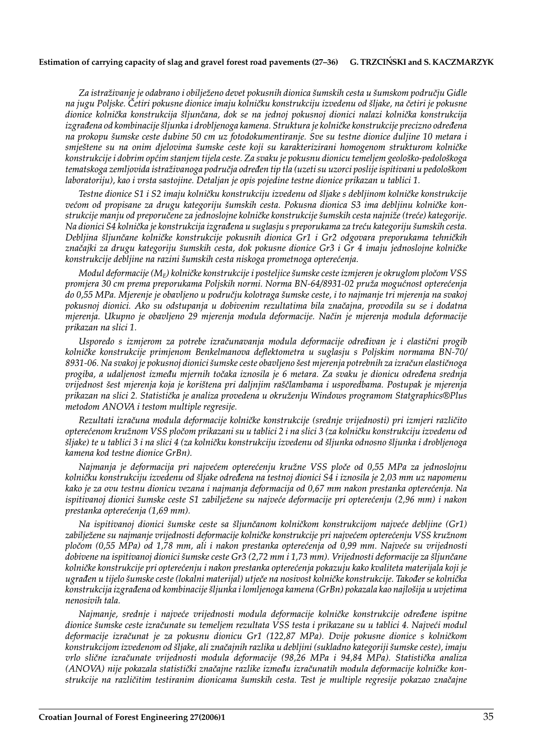#### **Estimation of carrying capacity of slag and gravel forest road pavements (27–36) G. TRZCIN´SKI and S. KACZMARZYK**

*Za istra`ivanje je odabrano i obilje`eno devet pokusnih dionica {umskih cesta u {umskom podru~ju Gidle na jugu Poljske. ^etiri pokusne dionice imaju kolni~ku konstrukciju izvedenu od {ljake, na ~etiri je pokusne dionice kolni~ka konstrukcija {ljun~ana, dok se na jednoj pokusnoj dionici nalazi kolni~ka konstrukcija izgrađena od kombinacije šljunka i drobljenoga kamena. Struktura je kolničke konstrukcije precizno određena na prokopu {umske ceste dubine 50 cm uz fotodokumentiranje. Sve su testne dionice duljine 10 metara i smje{tene su na onim djelovima {umske ceste koji su karakterizirani homogenom strukturom kolni~ke konstrukcije i dobrim op}im stanjem tijela ceste. Za svaku je pokusnu dionicu temeljem geolo{ko-pedolo{koga tematskoga zemljovida istra`ivanoga podru~ja odre|en tip tla (uzeti su uzorci poslije ispitivani u pedolo{kom laboratoriju), kao i vrsta sastojine. Detaljan je opis pojedine testne dionice prikazan u tablici 1.*

Testne dionice S1 i S2 imaju kolničku konstrukciju izvedenu od šljake s debljinom kolničke konstrukcije većom od propisane za drugu kategoriju šumskih cesta. Pokusna dionica S3 ima debljinu kolničke kon*strukcije manju od preporu~ene za jednoslojne kolni~ke konstrukcije {umskih cesta najni`e (tre}e) kategorije. Na dionici S4 kolni~ka je konstrukcija izgra|ena u suglasju s preporukama za tre}u kategoriju {umskih cesta. Debljina {ljun~ane kolni~ke konstrukcije pokusnih dionica Gr1 i Gr2 odgovara preporukama tehni~kih* značajki za drugu kategoriju šumskih cesta, dok pokusne dionice Gr3 i Gr 4 imaju jednoslojne kolničke *konstrukcije debljine na razini {umskih cesta niskoga prometnoga optere}enja.*

*Modul deformacije (M<sub>F</sub>) kolničke konstrukcije i posteljice šumske ceste izmjeren je okruglom pločom VSS* promjera 30 cm prema preporukama Poljskih normi. Norma BN-64/8931-02 pruža mogućnost opterećenja *do 0,55 MPa. Mjerenje je obavljeno u podru~ju kolotraga {umske ceste, i to najmanje tri mjerenja na svakoj pokusnoj dionici. Ako su odstupanja u dobivenim rezultatima bila zna~ajna, provodila su se i dodatna mjerenja. Ukupno je obavljeno 29 mjerenja modula deformacije. Na~in je mjerenja modula deformacije prikazan na slici 1.*

Usporedo s izmjerom za potrebe izračunavanja modula deformacije određivan je i elastični progib *kolni~ke konstrukcije primjenom Benkelmanova deflektometra u suglasju s Poljskim normama BN-70/ 8931-06. Na svakoj je pokusnoj dionici {umske ceste obavljeno {est mjerenja potrebnih za izra~un elasti~noga progiba, a udaljenost izme|u mjernih to~aka iznosila je 6 metara. Za svaku je dionicu odre|ena srednja vrijednost {est mjerenja koja je kori{tena pri daljnjim ra{~lambama i usporedbama. Postupak je mjerenja* prikazan na slici 2. Statistička je analiza provedena u okruženju Windows programom Statgraphics®Plus *metodom ANOVA i testom multiple regresije.*

*Rezultati izra~una modula deformacije kolni~ke konstrukcije (srednje vrijednosti) pri izmjeri razli~ito optere}enom kru`nom VSS plo~om prikazani su u tablici 2 i na slici 3 (za kolni~ku konstrukciju izvedenu od {ljake) te u tablici 3 i na slici 4 (za kolni~ku konstrukciju izvedenu od {ljunka odnosno {ljunka i drobljenoga kamena kod testne dionice GrBn).*

*Najmanja je deformacija pri najve}em optere}enju kru`ne VSS plo~e od 0,55 MPa za jednoslojnu kolni~ku konstrukciju izvedenu od {ljake odre|ena na testnoj dionici S4 i iznosila je 2,03 mm uz napomenu* kako je za ovu testnu dionicu vezana i najmanja deformacija od 0,67 mm nakon prestanka opterećenja. Na ispitivanoj dionici šumske ceste S1 zabilježene su najveće deformacije pri opterećenju (2,96 mm) i nakon *prestanka optere}enja (1,69 mm).*

*Na ispitivanoj dionici {umske ceste sa {ljun~anom kolni~kom konstrukcijom najve}e debljine (Gr1)* zabilježene su najmanje vrijednosti deformacije kolničke konstrukcije pri najvećem opterećenju VSS kružnom *plo~om (0,55 MPa) od 1,78 mm, ali i nakon prestanka optere}enja od 0,99 mm. Najve}e su vrijednosti dobivene na ispitivanoj dionici {umske ceste Gr3 (2,72 mm i 1,73 mm). Vrijednosti deformacije za {ljun~ane kolni~ke konstrukcije pri optere}enju i nakon prestanka optere}enja pokazuju kako kvaliteta materijala koji je ugra|en u tijelo {umske ceste (lokalni materijal) utje~e na nosivost kolni~ke konstrukcije. Tako|er se kolni~ka konstrukcija izgra|ena od kombinacije {ljunka i lomljenoga kamena (GrBn) pokazala kao najlo{ija u uvjetima nenosivih tala.*

*Najmanje, srednje i najve}e vrijednosti modula deformacije kolni~ke konstrukcije odre|ene ispitne dionice {umske ceste izra~unate su temeljem rezultata VSS testa i prikazane su u tablici 4. Najve}i modul* deformacije izračunat je za pokusnu dionicu Gr1 (122,87 MPa). Dvije pokusne dionice s kolničkom *konstrukcijom izvedenom od {ljake, ali zna~ajnih razlika u debljini (sukladno kategoriji {umske ceste), imaju vrlo slične izračunate vrijednosti modula deformacije (98,26 MPa i 94,84 MPa). Statistička analiza* (ANOVA) nije pokazala statistički značajne razlike između izračunatih modula deformacije kolničke kon*strukcije na razli~itim testiranim dionicama {umskih cesta. Test je multiple regresije pokazao zna~ajne*